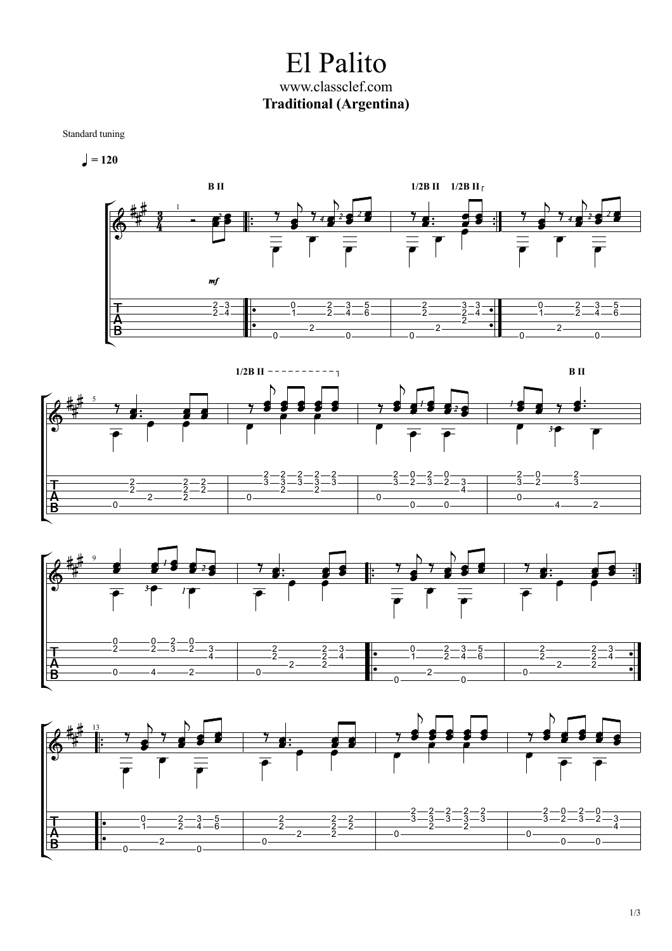El Palito www.classclef.com **Traditional (Argentina)**

Standard tuning

$$
\blacksquare = 120
$$







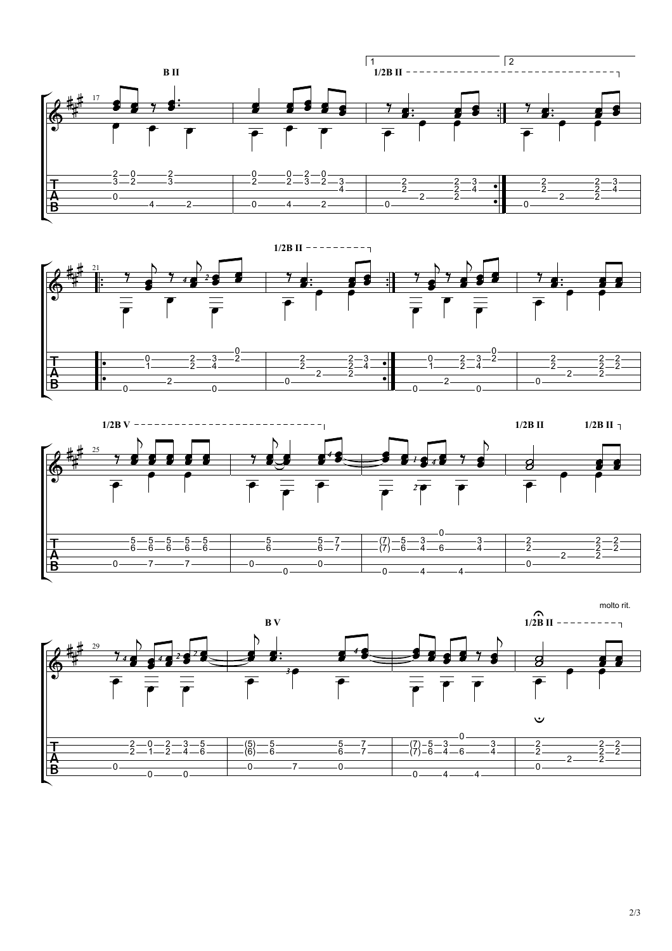